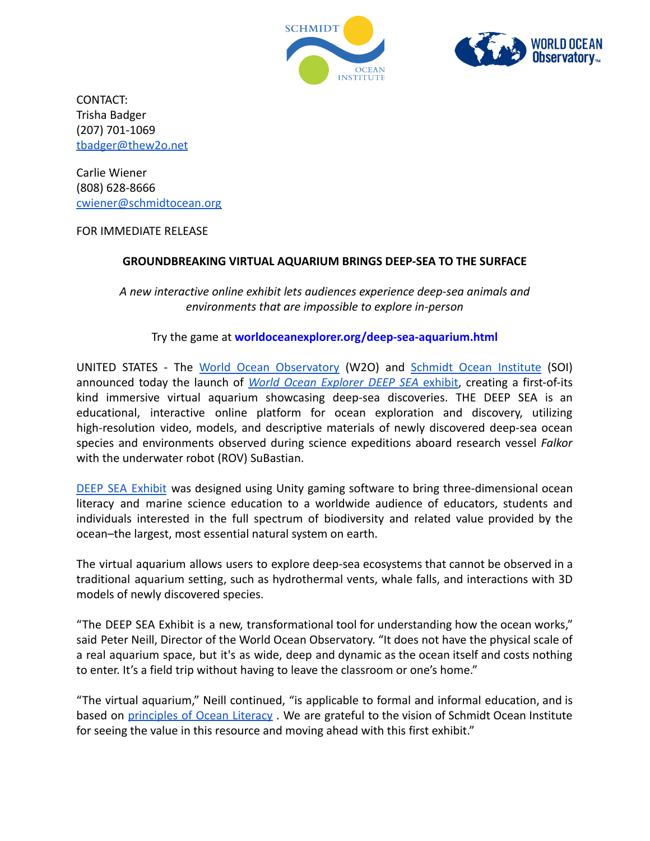



CONTACT: Trisha Badger (207) 701-1069 [tbadger@thew2o.net](mailto:tbadger@thew2o.net)

Carlie Wiener (808) 628-8666 [cwiener@schmidtocean.org](mailto:cwiener@schmidtocean.org)

## FOR IMMEDIATE RELEASE

## **GROUNDBREAKING VIRTUAL AQUARIUM BRINGS DEEP-SEA TO THE SURFACE**

*A new interactive online exhibit lets audiences experience deep-sea animals and environments that are impossible to explore in-person*

## Try the game at **worldoceanexplorer.org/deep-sea-aquarium.html**

UNITED STATES - The World Ocean [Observatory](https://worldoceanobservatory.org) (W2O) and Schmidt Ocean [Institute](https://schmidtocean.org/) (SOI) announced today the launch of *World Ocean [Explorer](http://worldoceanexplorer.org/deep-sea-aquarium.html) DEEP SEA* exhibit, creating a first-of-its kind immersive virtual aquarium showcasing deep-sea discoveries. THE DEEP SEA is an educational, interactive online platform for ocean exploration and discovery, utilizing high-resolution video, models, and descriptive materials of newly discovered deep-sea ocean species and environments observed during science expeditions aboard research vessel *Falkor* with the underwater robot (ROV) SuBastian.

DEEP SEA [Exhibit](http://worldoceanexplorer.org/deep-sea-aquarium.html) was designed using Unity gaming software to bring three-dimensional ocean literacy and marine science education to a worldwide audience of educators, students and individuals interested in the full spectrum of biodiversity and related value provided by the ocean–the largest, most essential natural system on earth.

The virtual aquarium allows users to explore deep-sea ecosystems that cannot be observed in a traditional aquarium setting, such as hydrothermal vents, whale falls, and interactions with 3D models of newly discovered species.

"The DEEP SEA Exhibit is a new, transformational tool for understanding how the ocean works," said Peter Neill, Director of the World Ocean Observatory. "It does not have the physical scale of a real aquarium space, but it's as wide, deep and dynamic as the ocean itself and costs nothing to enter. It's a field trip without having to leave the classroom or one's home."

"The virtual aquarium," Neill continued, "is applicable to formal and informal education, and is based on [principles](https://www.marine-ed.org/ocean-literacy/overview) of Ocean Literacy. We are grateful to the vision of Schmidt Ocean Institute for seeing the value in this resource and moving ahead with this first exhibit."